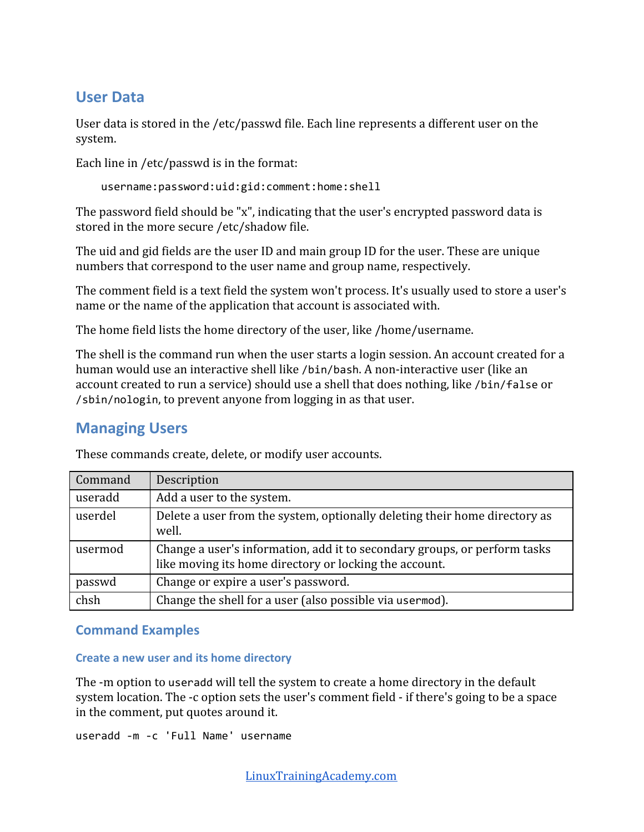# **User Data**

User data is stored in the /etc/passwd file. Each line represents a different user on the system.

Each line in /etc/passwd is in the format:

```
username:password:uid:gid:comment:home:shell
```
The password field should be "x", indicating that the user's encrypted password data is stored in the more secure /etc/shadow file.

The uid and gid fields are the user ID and main group ID for the user. These are unique numbers that correspond to the user name and group name, respectively.

The comment field is a text field the system won't process. It's usually used to store a user's name or the name of the application that account is associated with.

The home field lists the home directory of the user, like /home/username.

The shell is the command run when the user starts a login session. An account created for a human would use an interactive shell like /bin/bash. A non-interactive user (like an account created to run a service) should use a shell that does nothing, like /bin/false or /sbin/nologin, to prevent anyone from logging in as that user.

# **Managing Users**

These commands create, delete, or modify user accounts.

| Command | Description                                                                                                                         |
|---------|-------------------------------------------------------------------------------------------------------------------------------------|
| useradd | Add a user to the system.                                                                                                           |
| userdel | Delete a user from the system, optionally deleting their home directory as<br>well.                                                 |
| usermod | Change a user's information, add it to secondary groups, or perform tasks<br>like moving its home directory or locking the account. |
| passwd  | Change or expire a user's password.                                                                                                 |
| chsh    | Change the shell for a user (also possible via usermod).                                                                            |

## **Command Examples**

## **Create a new user and its home directory**

The -m option to useradd will tell the system to create a home directory in the default system location. The -c option sets the user's comment field - if there's going to be a space in the comment, put quotes around it.

useradd -m -c 'Full Name' username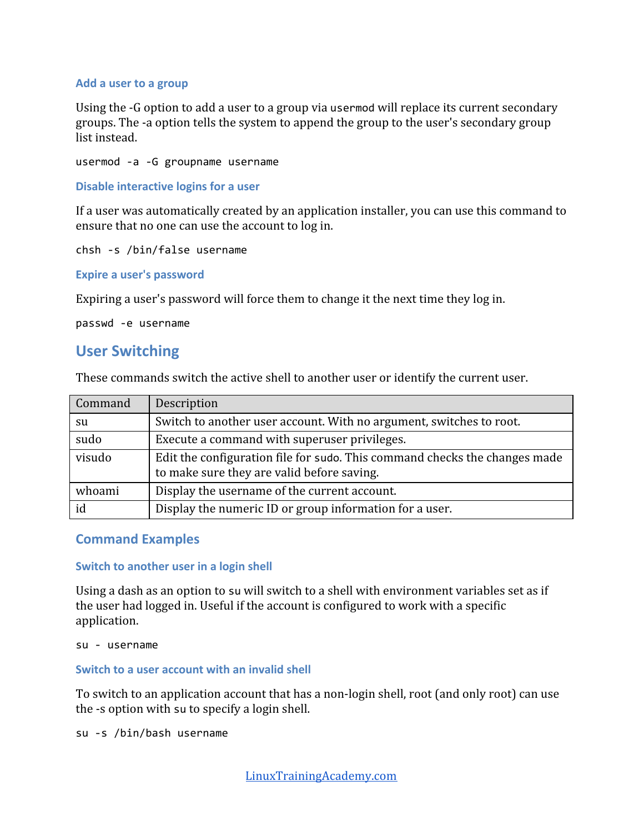#### **Add a user to a group**

Using the -G option to add a user to a group via usermod will replace its current secondary groups. The -a option tells the system to append the group to the user's secondary group list instead.

usermod -a -G groupname username

**Disable interactive logins for a user**

If a user was automatically created by an application installer, you can use this command to ensure that no one can use the account to log in.

chsh -s /bin/false username

**Expire a user's password**

Expiring a user's password will force them to change it the next time they log in.

passwd -e username

## **User Switching**

These commands switch the active shell to another user or identify the current user.

| Command | Description                                                                                                              |
|---------|--------------------------------------------------------------------------------------------------------------------------|
| su      | Switch to another user account. With no argument, switches to root.                                                      |
| sudo    | Execute a command with superuser privileges.                                                                             |
| visudo  | Edit the configuration file for sudo. This command checks the changes made<br>to make sure they are valid before saving. |
| whoami  | Display the username of the current account.                                                                             |
| id      | Display the numeric ID or group information for a user.                                                                  |

### **Command Examples**

#### **Switch to another user in a login shell**

Using a dash as an option to su will switch to a shell with environment variables set as if the user had logged in. Useful if the account is configured to work with a specific application.

su - username

#### **Switch to a user account with an invalid shell**

To switch to an application account that has a non-login shell, root (and only root) can use the -s option with su to specify a login shell.

su -s /bin/bash username